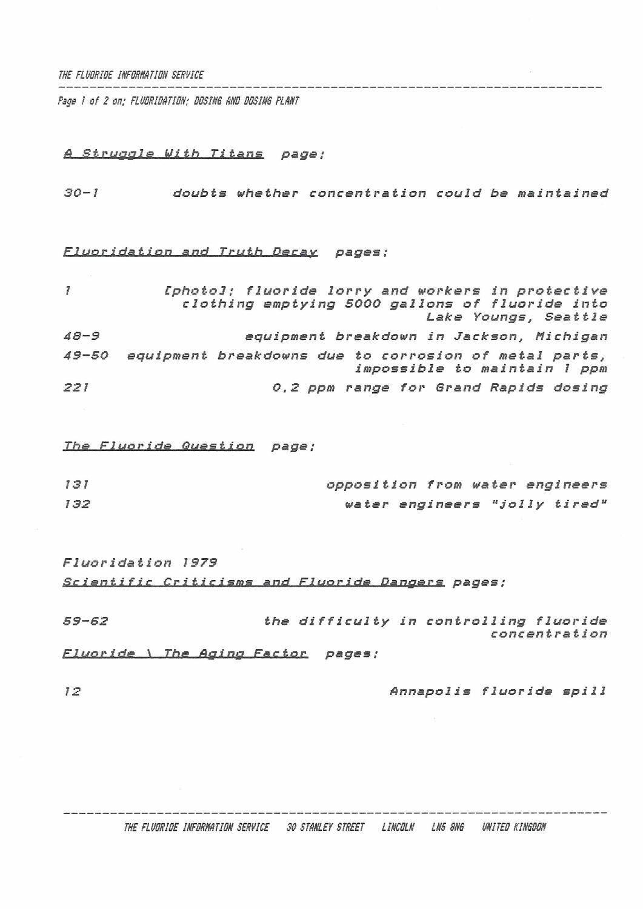*Psge / of 2 on; FLUDRIDRTIDN: DESIRS MD DDSINS PLANT*

# *Struggle Uiih Titans page:*

*30-1 doubts whether concentration could be maintained*

# *Fluoridation and Truth Dec st y pages ;*

| $\overline{f}$ | [photo]; fluoride lorry and workers in protective<br>clothing emptying 5000 gallons of fluoride into<br>Lake Youngs, Seattle |
|----------------|------------------------------------------------------------------------------------------------------------------------------|
| $48 - 9$       | equipment breakdown in Jackson, Michigan                                                                                     |
| $49 - 50$      | equipment breakdowns due to corrosion of metal parts,<br>impossible to maintain 1 ppm                                        |
| 221            | 0,2 ppm range for Grand Rapids dosing                                                                                        |

*<u><i>fluoride Question</u>* page;</u>

| 131 | opposition from water engineers |  |                               |
|-----|---------------------------------|--|-------------------------------|
| 132 |                                 |  | water engineers "jolly tired" |

*Fluoridation 1973 Scientific Criticisms and Fluoride Dangers pages ;*

*59-62 the difficulty in controlling fluoride coneen tration Fluoride \ The Aging Factor pages ;*

*<sup>12</sup> Annapolis fluoride spill*